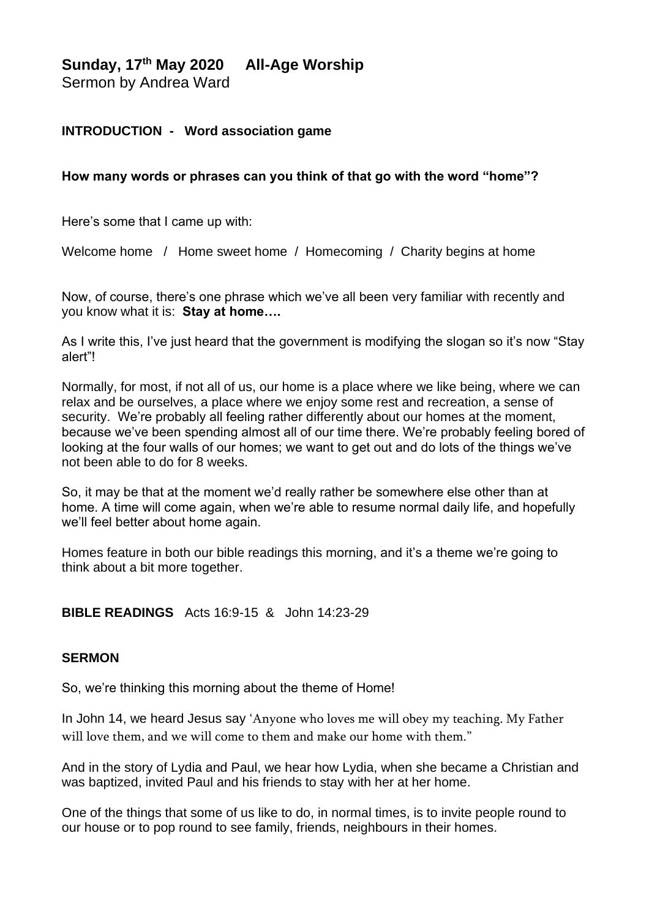# **Sunday, 17th May 2020 All-Age Worship**

Sermon by Andrea Ward

# **INTRODUCTION - Word association game**

### **How many words or phrases can you think of that go with the word "home"?**

Here's some that I came up with:

Welcome home / Home sweet home / Homecoming / Charity begins at home

Now, of course, there's one phrase which we've all been very familiar with recently and you know what it is: **Stay at home….** 

As I write this, I've just heard that the government is modifying the slogan so it's now "Stay alert"!

Normally, for most, if not all of us, our home is a place where we like being, where we can relax and be ourselves, a place where we enjoy some rest and recreation, a sense of security. We're probably all feeling rather differently about our homes at the moment, because we've been spending almost all of our time there. We're probably feeling bored of looking at the four walls of our homes; we want to get out and do lots of the things we've not been able to do for 8 weeks.

So, it may be that at the moment we'd really rather be somewhere else other than at home. A time will come again, when we're able to resume normal daily life, and hopefully we'll feel better about home again.

Homes feature in both our bible readings this morning, and it's a theme we're going to think about a bit more together.

## **BIBLE READINGS** Acts 16:9-15 & John 14:23-29

### **SERMON**

So, we're thinking this morning about the theme of Home!

In John 14, we heard Jesus say 'Anyone who loves me will obey my teaching. My Father will love them, and we will come to them and make our home with them."

And in the story of Lydia and Paul, we hear how Lydia, when she became a Christian and was baptized, invited Paul and his friends to stay with her at her home.

One of the things that some of us like to do, in normal times, is to invite people round to our house or to pop round to see family, friends, neighbours in their homes.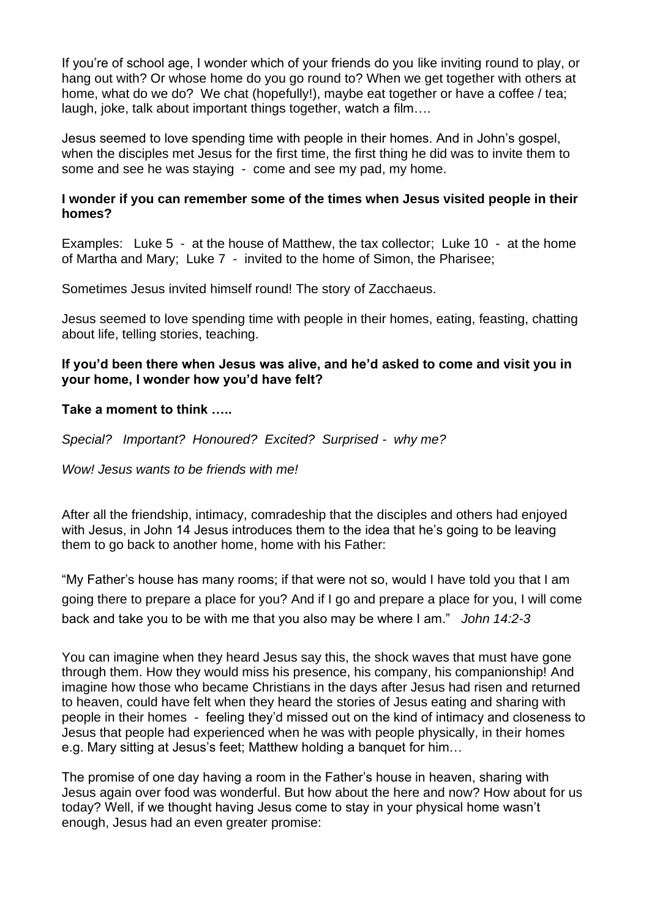If you're of school age, I wonder which of your friends do you like inviting round to play, or hang out with? Or whose home do you go round to? When we get together with others at home, what do we do? We chat (hopefully!), maybe eat together or have a coffee / tea; laugh, joke, talk about important things together, watch a film….

Jesus seemed to love spending time with people in their homes. And in John's gospel, when the disciples met Jesus for the first time, the first thing he did was to invite them to some and see he was staying - come and see my pad, my home.

## **I wonder if you can remember some of the times when Jesus visited people in their homes?**

Examples: Luke 5 - at the house of Matthew, the tax collector; Luke 10 - at the home of Martha and Mary; Luke 7 - invited to the home of Simon, the Pharisee;

Sometimes Jesus invited himself round! The story of Zacchaeus.

Jesus seemed to love spending time with people in their homes, eating, feasting, chatting about life, telling stories, teaching.

### **If you'd been there when Jesus was alive, and he'd asked to come and visit you in your home, I wonder how you'd have felt?**

### **Take a moment to think …..**

*Special? Important? Honoured? Excited? Surprised - why me?*

*Wow! Jesus wants to be friends with me!*

After all the friendship, intimacy, comradeship that the disciples and others had enjoyed with Jesus, in John 14 Jesus introduces them to the idea that he's going to be leaving them to go back to another home, home with his Father:

"My Father's house has many rooms; if that were not so, would I have told you that I am going there to prepare a place for you? And if I go and prepare a place for you, I will come back and take you to be with me that you also may be where I am." *John 14:2-3*

You can imagine when they heard Jesus say this, the shock waves that must have gone through them. How they would miss his presence, his company, his companionship! And imagine how those who became Christians in the days after Jesus had risen and returned to heaven, could have felt when they heard the stories of Jesus eating and sharing with people in their homes - feeling they'd missed out on the kind of intimacy and closeness to Jesus that people had experienced when he was with people physically, in their homes e.g. Mary sitting at Jesus's feet; Matthew holding a banquet for him…

The promise of one day having a room in the Father's house in heaven, sharing with Jesus again over food was wonderful. But how about the here and now? How about for us today? Well, if we thought having Jesus come to stay in your physical home wasn't enough, Jesus had an even greater promise: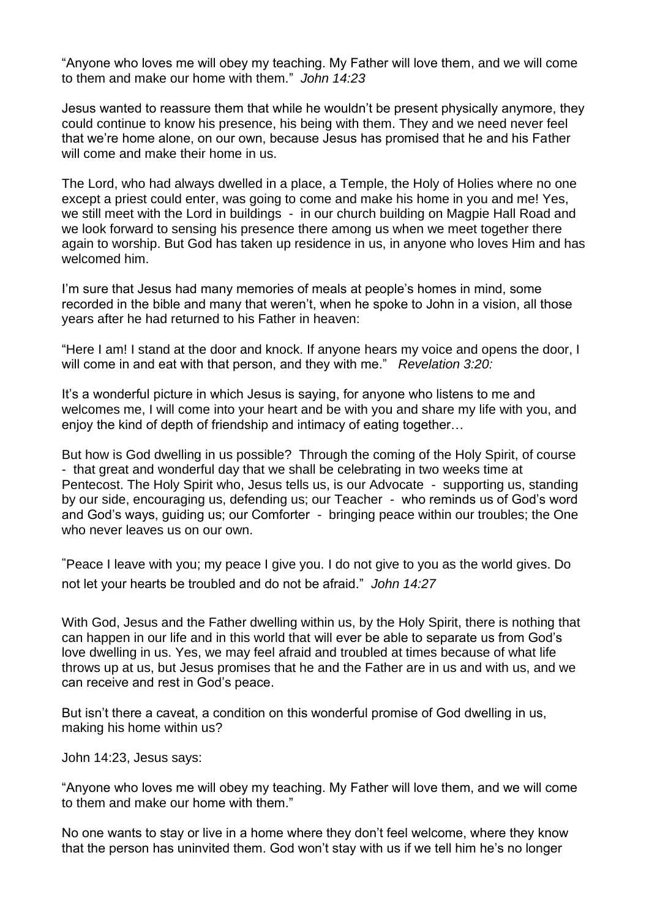"Anyone who loves me will obey my teaching. My Father will love them, and we will come to them and make our home with them." *John 14:23*

Jesus wanted to reassure them that while he wouldn't be present physically anymore, they could continue to know his presence, his being with them. They and we need never feel that we're home alone, on our own, because Jesus has promised that he and his Father will come and make their home in us.

The Lord, who had always dwelled in a place, a Temple, the Holy of Holies where no one except a priest could enter, was going to come and make his home in you and me! Yes, we still meet with the Lord in buildings - in our church building on Magpie Hall Road and we look forward to sensing his presence there among us when we meet together there again to worship. But God has taken up residence in us, in anyone who loves Him and has welcomed him.

I'm sure that Jesus had many memories of meals at people's homes in mind, some recorded in the bible and many that weren't, when he spoke to John in a vision, all those years after he had returned to his Father in heaven:

"Here I am! I stand at the door and knock. If anyone hears my voice and opens the door, I will come in and eat with that person, and they with me." *Revelation 3:20:*

It's a wonderful picture in which Jesus is saying, for anyone who listens to me and welcomes me, I will come into your heart and be with you and share my life with you, and enjoy the kind of depth of friendship and intimacy of eating together…

But how is God dwelling in us possible? Through the coming of the Holy Spirit, of course - that great and wonderful day that we shall be celebrating in two weeks time at Pentecost. The Holy Spirit who, Jesus tells us, is our Advocate - supporting us, standing by our side, encouraging us, defending us; our Teacher - who reminds us of God's word and God's ways, guiding us; our Comforter - bringing peace within our troubles; the One who never leaves us on our own.

**"**Peace I leave with you; my peace I give you. I do not give to you as the world gives. Do not let your hearts be troubled and do not be afraid." *John 14:27*

With God, Jesus and the Father dwelling within us, by the Holy Spirit, there is nothing that can happen in our life and in this world that will ever be able to separate us from God's love dwelling in us. Yes, we may feel afraid and troubled at times because of what life throws up at us, but Jesus promises that he and the Father are in us and with us, and we can receive and rest in God's peace.

But isn't there a caveat, a condition on this wonderful promise of God dwelling in us, making his home within us?

John 14:23, Jesus says:

"Anyone who loves me will obey my teaching. My Father will love them, and we will come to them and make our home with them."

No one wants to stay or live in a home where they don't feel welcome, where they know that the person has uninvited them. God won't stay with us if we tell him he's no longer